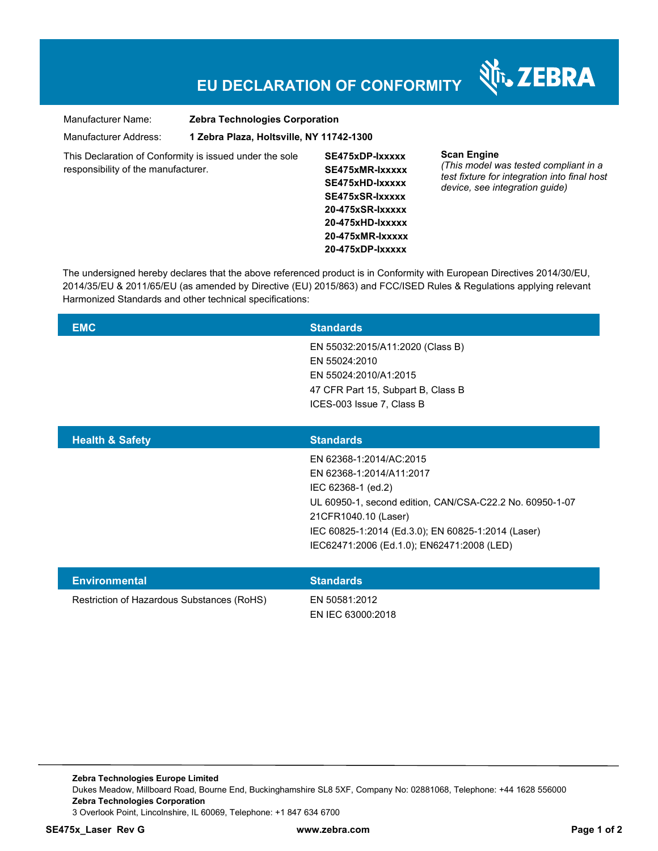## **EU DECLARATION OF CONFORMITY**

Nr. ZEBRA

| Manufacturer Name:                                                                             | <b>Zebra Technologies Corporation</b>    |                                                                                                                                                               |                                                                                                                                               |
|------------------------------------------------------------------------------------------------|------------------------------------------|---------------------------------------------------------------------------------------------------------------------------------------------------------------|-----------------------------------------------------------------------------------------------------------------------------------------------|
| Manufacturer Address:                                                                          | 1 Zebra Plaza, Holtsville, NY 11742-1300 |                                                                                                                                                               |                                                                                                                                               |
| This Declaration of Conformity is issued under the sole<br>responsibility of the manufacturer. |                                          | SE475xDP-lxxxxx<br>SE475xMR-Ixxxxx<br>SE475xHD-lxxxxx<br>SE475xSR-Ixxxxx<br>20-475xSR-lxxxxx<br>$20 - 475xHD$ -Ixxxxx<br>20-475xMR-lxxxxx<br>20-475xDP-lxxxxx | <b>Scan Engine</b><br>(This model was tested compliant in a<br>test fixture for integration into final host<br>device, see integration quide) |

The undersigned hereby declares that the above referenced product is in Conformity with European Directives 2014/30/EU, 2014/35/EU & 2011/65/EU (as amended by Directive (EU) 2015/863) and FCC/ISED Rules & Regulations applying relevant Harmonized Standards and other technical specifications:

| <b>EMC</b>                                 | <b>Standards</b>                                                                                                                                                                                                                                                  |
|--------------------------------------------|-------------------------------------------------------------------------------------------------------------------------------------------------------------------------------------------------------------------------------------------------------------------|
|                                            | EN 55032:2015/A11:2020 (Class B)<br>EN 55024:2010<br>EN 55024:2010/A1:2015<br>47 CFR Part 15, Subpart B, Class B<br>ICES-003 Issue 7, Class B                                                                                                                     |
| <b>Health &amp; Safety</b>                 | <b>Standards</b>                                                                                                                                                                                                                                                  |
|                                            | EN 62368-1:2014/AC:2015<br>EN 62368-1:2014/A11:2017<br>IEC 62368-1 (ed.2)<br>UL 60950-1, second edition, CAN/CSA-C22.2 No. 60950-1-07<br>21CFR1040.10 (Laser)<br>IEC 60825-1:2014 (Ed.3.0); EN 60825-1:2014 (Laser)<br>IEC62471:2006 (Ed.1.0); EN62471:2008 (LED) |
| <b>Environmental</b>                       | <b>Standards</b>                                                                                                                                                                                                                                                  |
| Restriction of Hazardous Substances (RoHS) | EN 50581:2012<br>EN IEC 63000:2018                                                                                                                                                                                                                                |